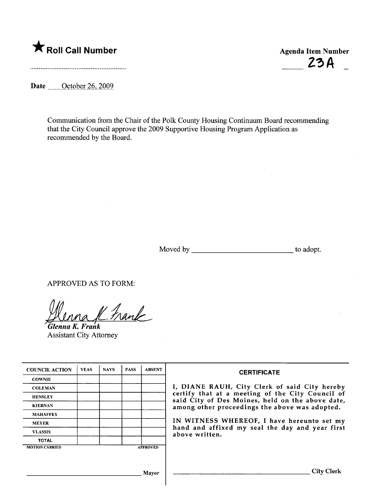

Date \_\_\_\_\_\_ October 26, 2009

Communication from the Chair of the Polk County Housing Continuum Board recommending that the City Council approve the 2009 Supportive Housing Program Application as recommended by the Board.

Moved by to adopt.

APPROVED AS TO FORM:

Uloma K. Frank

Assistant City Attorney

| <b>COUNCIL ACTION</b> | <b>YEAS</b> | <b>NAYS</b> | <b>PASS</b> | <b>ABSENT</b>   | <b>CERTIFICATE</b>                                                                                                                                                                                                                                                                                                         |  |  |  |  |
|-----------------------|-------------|-------------|-------------|-----------------|----------------------------------------------------------------------------------------------------------------------------------------------------------------------------------------------------------------------------------------------------------------------------------------------------------------------------|--|--|--|--|
| <b>COWNIE</b>         |             |             |             |                 |                                                                                                                                                                                                                                                                                                                            |  |  |  |  |
| <b>COLEMAN</b>        |             |             |             |                 | I, DIANE RAUH, City Clerk of said City hereby<br>certify that at a meeting of the City Council of<br>said City of Des Moines, held on the above date,<br>among other proceedings the above was adopted.<br>IN WITNESS WHEREOF, I have hereunto set my<br>hand and affixed my seal the day and year first<br>above written. |  |  |  |  |
| <b>HENSLEY</b>        |             |             |             |                 |                                                                                                                                                                                                                                                                                                                            |  |  |  |  |
| <b>KIERNAN</b>        |             |             |             |                 |                                                                                                                                                                                                                                                                                                                            |  |  |  |  |
| <b>MAHAFFEY</b>       |             |             |             |                 |                                                                                                                                                                                                                                                                                                                            |  |  |  |  |
| <b>MEYER</b>          |             |             |             |                 |                                                                                                                                                                                                                                                                                                                            |  |  |  |  |
| <b>VLASSIS</b>        |             |             |             |                 |                                                                                                                                                                                                                                                                                                                            |  |  |  |  |
| <b>TOTAL</b>          |             |             |             |                 |                                                                                                                                                                                                                                                                                                                            |  |  |  |  |
| <b>MOTION CARRIED</b> |             |             |             | <b>APPROVED</b> |                                                                                                                                                                                                                                                                                                                            |  |  |  |  |
|                       |             |             |             |                 |                                                                                                                                                                                                                                                                                                                            |  |  |  |  |
| Mayor                 |             |             |             |                 | City C                                                                                                                                                                                                                                                                                                                     |  |  |  |  |

 $23A$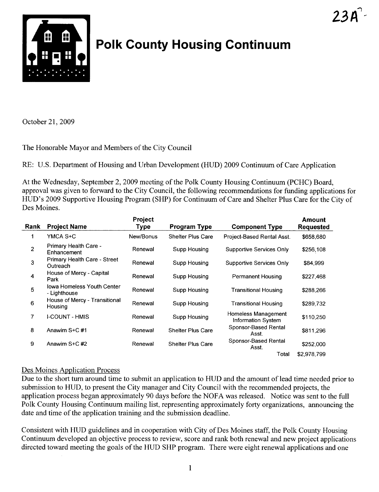

## Polk County Housing Continuum

October 21, 2009

The Honorable Mayor and Members of the City Council

RE: U.S. Deparment of Housing and Urban Development (HUD) 2009 Continuum of Care Application

At the Wednesday, September 2,2009 meeting of the Polk County Housing Continuum (PCHC) Board, approval was given to forward to the City Council, the following recommendations for funding applications for HUD's 2009 Supportive Housing Program (SHP) for Continuum of Care and Shelter Plus Care for the City of Des Moines.

| Rank           | <b>Project Name</b>                               | Project<br><b>Type</b> | <b>Program Type</b>      | <b>Component Type</b>                     | <b>Amount</b><br><b>Requested</b> |
|----------------|---------------------------------------------------|------------------------|--------------------------|-------------------------------------------|-----------------------------------|
| 1              | YMCA S+C                                          | New/Bonus              | <b>Shelter Plus Care</b> | Project-Based Rental Asst.                | \$658,680                         |
| $\overline{2}$ | Primary Health Care -<br>Enhancement              | Renewal                | Supp Housing             | <b>Supportive Services Only</b>           | \$256,108                         |
| 3              | <b>Primary Health Care - Street</b><br>Outreach   | Renewal                | Supp Housing             | Supportive Services Only                  | \$84,999                          |
| 4              | House of Mercy - Capital<br>Park                  | Renewal                | Supp Housing             | Permanent Housing                         | \$227,468                         |
| 5              | <b>Iowa Homeless Youth Center</b><br>- Lighthouse | Renewal                | Supp Housing             | <b>Transitional Housing</b>               | \$288,266                         |
| 6              | House of Mercy - Transitional<br>Housing          | Renewal                | Supp Housing             | Transitional Housing                      | \$289,732                         |
| 7              | <b>I-COUNT - HMIS</b>                             | Renewal                | Supp Housing             | Homeless Management<br>Information System | \$110,250                         |
| 8              | Anawim S+C#1                                      | Renewal                | <b>Shelter Plus Care</b> | Sponsor-Based Rental<br>Asst.             | \$811,296                         |
| 9              | Anawim S+C#2                                      | Renewal                | <b>Shelter Plus Care</b> | Sponsor-Based Rental<br>Asst.             | \$252,000                         |
|                |                                                   |                        |                          | Total                                     | \$2.978.799                       |

## Des Moines Application Process

Due to the short turn around time to submit an application to HUD and the amount of lead time needed prior to submission to HUD, to present the City manager and City Council with the recommended projects, the application process began approximately 90 days before the NOFA was released. Notice was sent to the full Polk County Housing Continuum mailing list, representing approximately forty organizations, announcing the date and time of the application training and the submission deadline.

Consistent with HUD guidelines and in cooperation with City of Des Moines staff, the Polk County Housing Continuum developed an objective process to review, score and rank both renewal and new project applications directed toward meeting the goals of the HUD SHP program. There were eight renewal applications and one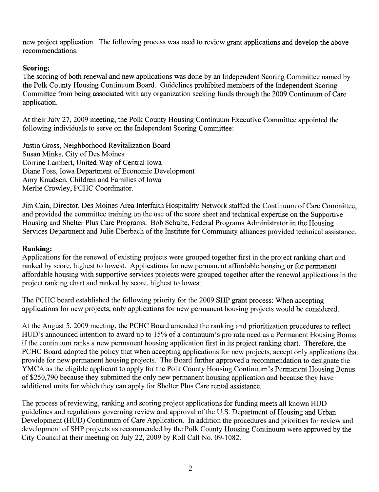new project application. The following process was used to review grant applications and develop the above recommendations.

## Scoring:

The scoring of both renewal and new applications was done by an Independent Scoring Committee named by the Polk County Housing Continuum Board. Guidelines prohibited members of the Independent Scoring Committee from being associated with any organization seeking funds through the 2009 Continuum of Care application.

At their July 27, 2009 meeting, the Polk County Housing Continuum Executive Committee appointed the following individuals to serve on the Independent Scoring Committee:

Justin Gross, Neighborhood Revitalization Board Susan Minks, City of Des Moines Corrine Lambert, United Way of Central Iowa Diane Foss, Iowa Department of Economic Development Amy Knudsen, Children and Families of Iowa Merlie Crowley, PCHC Coordinator.

Jim Cain, Director, Des Moines Area Interfaith Hospitality Network staffed the Continuum of Care Committee, and provided the committee training on the use of the score sheet and technical expertise on the Supportive Housing and Shelter Plus Care Programs. Bob Schulte, Federal Programs Administrator in the Housing Services Department and Julie Eberbach of the Institute for Community alliances provided technical assistance.

## Ranking:

Applications for the renewal of existing projects were grouped together first in the project ranking chart and raned by score, highest to lowest. Applications for new permanent affordable housing or for permanent affordable housing with supportive services projects were grouped together after the renewal applications in the project ranking chart and ranked by score, highest to lowest.

The PCHC board established the following priority for the 2009 SHP grant process: When accepting applications for new projects, only applications for new permanent housing projects would be considered.

At the August 5, 2009 meeting, the PCHC Board amended the ranking and prioritization procedures to reflect HUD's announced intention to award up to 15% of a continuum's pro rata need as a Permanent Housing Bonus if the continuum ranks a new permanent housing application first in its project ranking chart. Therefore, the PCHC Board adopted the policy that when accepting applications for new projects, accept only applications that provide for new permanent housing projects. The Board further approved a recommendation to designate the YMCA as the eligible applicant to apply for the Polk County Housing Continuum's Permanent Housing Bonus of \$250,790 because they submitted the only new permanent housing application and because they have additional units for which they can apply for Shelter Plus Care rental assistance.

The process of reviewing, ranking and scoring project applications for funding meets all known HUD guidelines and regulations governing review and approval of the U.S. Department of Housing and Urban Development (HUD) Continuum of Care Application. In addition the procedures and priorities for review and development of SHP projects as recommended by the Polk County Housing Continuum were approved by the City Council at their meeting on July 22, 2009 by Roll Call No. 09-1082.